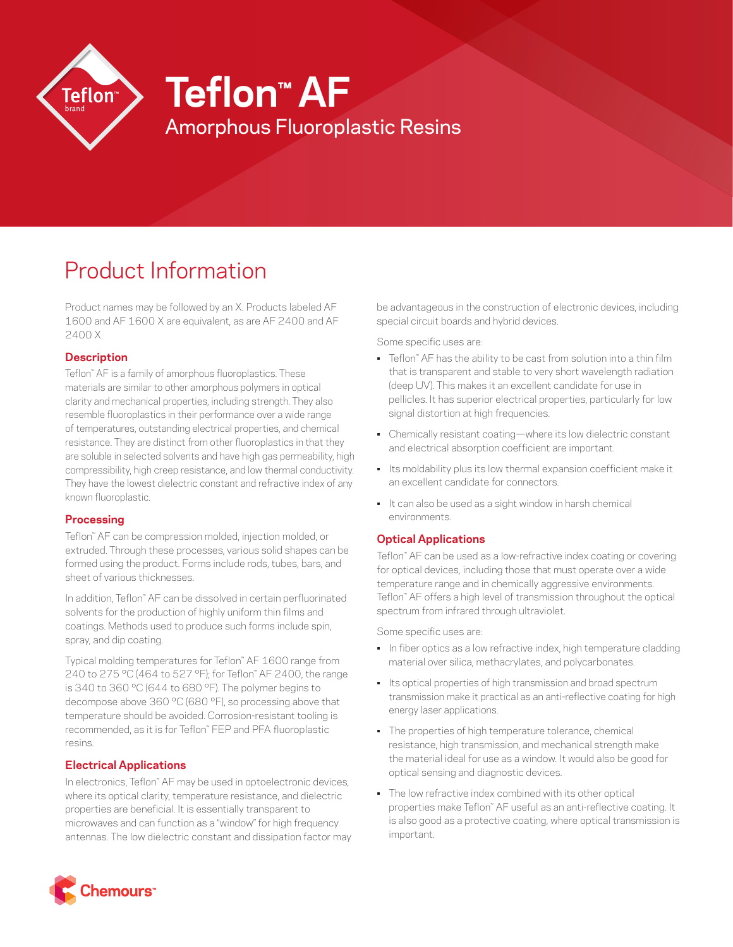

# Product Information

Product names may be followed by an X. Products labeled AF 1600 and AF 1600 X are equivalent, as are AF 2400 and AF 2400 X.

#### **Description**

Teflon™ AF is a family of amorphous fluoroplastics. These materials are similar to other amorphous polymers in optical clarity and mechanical properties, including strength. They also resemble fluoroplastics in their performance over a wide range of temperatures, outstanding electrical properties, and chemical resistance. They are distinct from other fluoroplastics in that they are soluble in selected solvents and have high gas permeability, high compressibility, high creep resistance, and low thermal conductivity. They have the lowest dielectric constant and refractive index of any known fluoroplastic.

#### **Processing**

Teflon™ AF can be compression molded, injection molded, or extruded. Through these processes, various solid shapes can be formed using the product. Forms include rods, tubes, bars, and sheet of various thicknesses.

In addition, Teflon™ AF can be dissolved in certain perfluorinated solvents for the production of highly uniform thin films and coatings. Methods used to produce such forms include spin, spray, and dip coating.

Typical molding temperatures for Teflon™ AF 1600 range from 240 to 275 °C (464 to 527 °F); for Teflon™ AF 2400, the range is 340 to 360 °C (644 to 680 °F). The polymer begins to decompose above 360 °C (680 °F), so processing above that temperature should be avoided. Corrosion-resistant tooling is recommended, as it is for Teflon™ FEP and PFA fluoroplastic resins.

### **Electrical Applications**

In electronics, Teflon™ AF may be used in optoelectronic devices, where its optical clarity, temperature resistance, and dielectric properties are beneficial. It is essentially transparent to microwaves and can function as a "window" for high frequency antennas. The low dielectric constant and dissipation factor may be advantageous in the construction of electronic devices, including special circuit boards and hybrid devices.

Some specific uses are:

- Teflon" AF has the ability to be cast from solution into a thin film that is transparent and stable to very short wavelength radiation (deep UV). This makes it an excellent candidate for use in pellicles. It has superior electrical properties, particularly for low signal distortion at high frequencies.
- Chemically resistant coating—where its low dielectric constant and electrical absorption coefficient are important.
- Its moldability plus its low thermal expansion coefficient make it an excellent candidate for connectors.
- It can also be used as a sight window in harsh chemical environments.

### **Optical Applications**

Teflon™ AF can be used as a low-refractive index coating or covering for optical devices, including those that must operate over a wide temperature range and in chemically aggressive environments. Teflon™ AF offers a high level of transmission throughout the optical spectrum from infrared through ultraviolet.

Some specific uses are:

- In fiber optics as a low refractive index, high temperature cladding material over silica, methacrylates, and polycarbonates.
- Its optical properties of high transmission and broad spectrum transmission make it practical as an anti-reflective coating for high energy laser applications.
- The properties of high temperature tolerance, chemical resistance, high transmission, and mechanical strength make the material ideal for use as a window. It would also be good for optical sensing and diagnostic devices.
- The low refractive index combined with its other optical properties make Teflon™ AF useful as an anti-reflective coating. It is also good as a protective coating, where optical transmission is important.

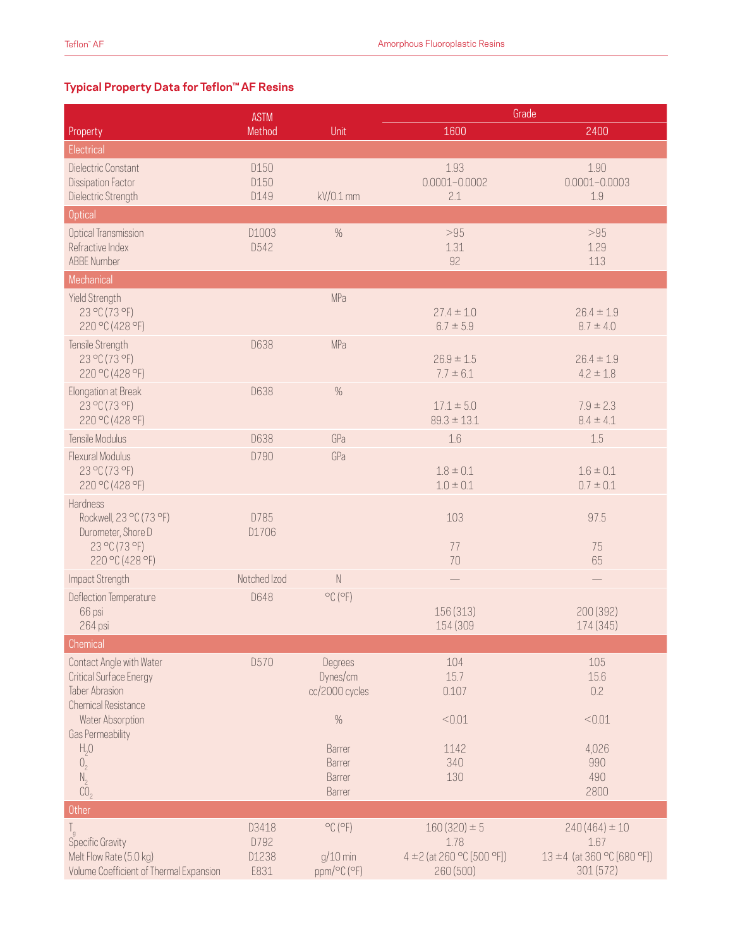## **Typical Property Data for Teflon™ AF Resins**

|                                                                                                            | <b>ASTM</b>                    |                                                           | Grade                                                               |                                                                      |
|------------------------------------------------------------------------------------------------------------|--------------------------------|-----------------------------------------------------------|---------------------------------------------------------------------|----------------------------------------------------------------------|
| Property                                                                                                   | Method                         | Unit                                                      | 1600                                                                | 2400                                                                 |
| Electrical                                                                                                 |                                |                                                           |                                                                     |                                                                      |
| Dielectric Constant<br><b>Dissipation Factor</b><br>Dielectric Strength                                    | D150<br>D150<br>D149           | kV/0.1 mm                                                 | 1.93<br>$0.0001 - 0.0002$<br>2.1                                    | 1.90<br>$0.0001 - 0.0003$<br>1.9                                     |
| <b>Optical</b>                                                                                             |                                |                                                           |                                                                     |                                                                      |
| Optical Transmission<br>Refractive Index<br><b>ABBE Number</b>                                             | D1003<br>D542                  | $\%$                                                      | >95<br>1.31<br>92                                                   | >95<br>1.29<br>113                                                   |
| Mechanical                                                                                                 |                                |                                                           |                                                                     |                                                                      |
| Yield Strength<br>23 °C (73 °F)<br>220 °C (428 °F)                                                         |                                | MPa                                                       | $27.4 \pm 1.0$<br>$6.7 \pm 5.9$                                     | $26.4 \pm 1.9$<br>$8.7 \pm 4.0$                                      |
| Tensile Strength<br>23 °C (73 °F)<br>220 °C (428 °F)                                                       | D638                           | MPa                                                       | $26.9 \pm 1.5$<br>$7.7 \pm 6.1$                                     | $26.4 \pm 1.9$<br>$4.2 \pm 1.8$                                      |
| Elongation at Break<br>23 °C (73 °F)<br>220 °C (428 °F)                                                    | D638                           | $\%$                                                      | $17.1 \pm 5.0$<br>$89.3 \pm 13.1$                                   | $7.9 \pm 2.3$<br>$8.4 \pm 4.1$                                       |
| Tensile Modulus                                                                                            | D638                           | GPa                                                       | 1.6                                                                 | 1.5                                                                  |
| Flexural Modulus<br>23 °C (73 °F)<br>220 °C (428 °F)                                                       | D790                           | GPa                                                       | $1.8 \pm 0.1$<br>$1.0 \pm 0.1$                                      | $1.6 \pm 0.1$<br>$0.7 \pm 0.1$                                       |
| Hardness<br>Rockwell, 23 °C (73 °F)<br>Durometer, Shore D<br>23 °C (73 °F)<br>220 °C (428 °F)              | D785<br>D1706                  |                                                           | 103<br>77<br>70                                                     | 97.5<br>75<br>65                                                     |
| Impact Strength                                                                                            | Notched Izod                   | $\mathbb N$                                               |                                                                     |                                                                      |
| Deflection Temperature<br>66 psi<br>264 psi                                                                | <b>D648</b>                    | $^{\circ}$ C ( $^{\circ}$ F)                              | 156 (313)<br>154 (309                                               | 200 (392)<br>174 (345)                                               |
| Chemical                                                                                                   |                                |                                                           |                                                                     |                                                                      |
| Contact Angle with Water<br><b>Critical Surface Energy</b><br>Taber Abrasion<br><b>Chemical Resistance</b> | D570                           | Degrees<br>Dynes/cm<br>cc/2000 cycles                     | 104<br>15.7<br>0.107                                                | 105<br>15.6<br>0.2                                                   |
| Water Absorption<br>Gas Permeability                                                                       |                                | $\%$                                                      | < 0.01                                                              | < 0.01                                                               |
| $H_2O$<br>0,<br>$N_{2}$<br>CO <sub>2</sub>                                                                 |                                | Barrer<br>Barrer<br>Barrer<br>Barrer                      | 1142<br>340<br>130                                                  | 4,026<br>990<br>490<br>2800                                          |
| <b>Other</b>                                                                                               |                                |                                                           |                                                                     |                                                                      |
| $\int_{9}$<br>Specific Gravity<br>Melt Flow Rate (5.0 kg)<br>Volume Coefficient of Thermal Expansion       | D3418<br>D792<br>D1238<br>E831 | $^{\circ}$ C ( $^{\circ}$ F)<br>$g/10$ min<br>ppm/°C (°F) | $160(320) \pm 5$<br>1.78<br>4 ± 2 (at 260 °C [500 °F])<br>260 (500) | $240(464) \pm 10$<br>1.67<br>13 ±4 (at 360 °C [680 °F])<br>301 (572) |